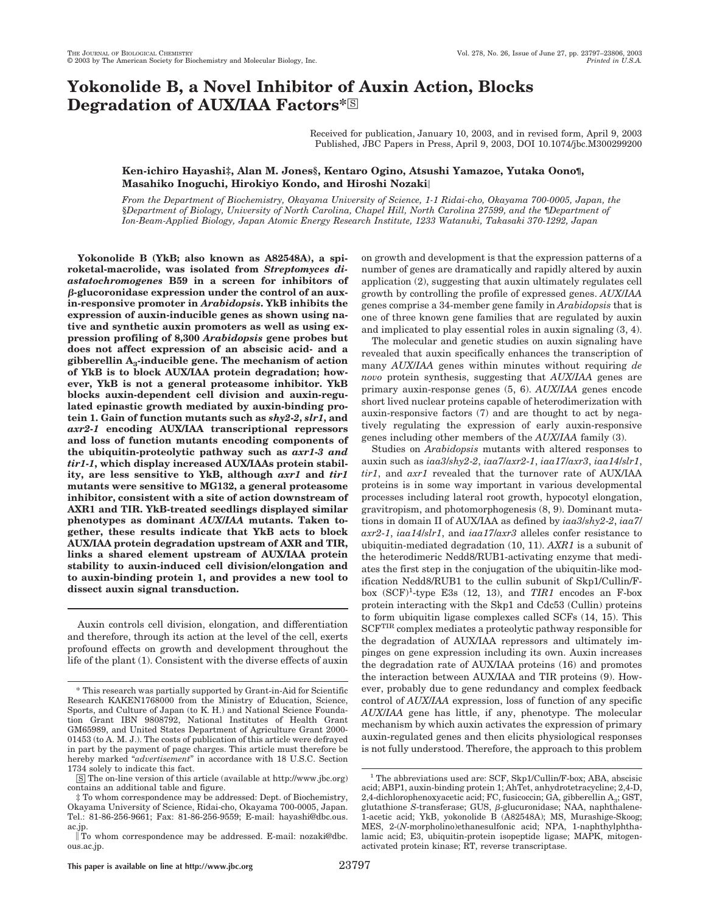# **Yokonolide B, a Novel Inhibitor of Auxin Action, Blocks** Degradation of **AUX/IAA Factors**\*<sup>S</sup>

Received for publication, January 10, 2003, and in revised form, April 9, 2003 Published, JBC Papers in Press, April 9, 2003, DOI 10.1074/jbc.M300299200

# **Ken-ichiro Hayashi‡, Alan M. Jones§, Kentaro Ogino, Atsushi Yamazoe, Yutaka Oono¶, Masahiko Inoguchi, Hirokiyo Kondo, and Hiroshi Nozaki**

*From the Department of Biochemistry, Okayama University of Science, 1-1 Ridai-cho, Okayama 700-0005, Japan, the* §*Department of Biology, University of North Carolina, Chapel Hill, North Carolina 27599, and the* ¶*Department of Ion-Beam-Applied Biology, Japan Atomic Energy Research Institute, 1233 Watanuki, Takasaki 370-1292, Japan*

**Yokonolide B (YkB; also known as A82548A), a spiroketal-macrolide, was isolated from** *Streptomyces diastatochromogenes* **B59 in a screen for inhibitors of -glucoronidase expression under the control of an auxin-responsive promoter in** *Arabidopsis***. YkB inhibits the expression of auxin-inducible genes as shown using native and synthetic auxin promoters as well as using expression profiling of 8,300** *Arabidopsis* **gene probes but does not affect expression of an abscisic acid- and a gibberellin A3-inducible gene. The mechanism of action of YkB is to block AUX/IAA protein degradation; however, YkB is not a general proteasome inhibitor. YkB blocks auxin-dependent cell division and auxin-regulated epinastic growth mediated by auxin-binding protein 1. Gain of function mutants such as** *shy2***-***2***,** *slr1***, and** *axr2***-***1* **encoding AUX/IAA transcriptional repressors and loss of function mutants encoding components of the ubiquitin-proteolytic pathway such as** *axr1***-***3 and tir1***-***1***, which display increased AUX/IAAs protein stability, are less sensitive to YkB, although** *axr1* **and** *tir1* **mutants were sensitive to MG132, a general proteasome inhibitor, consistent with a site of action downstream of AXR1 and TIR. YkB-treated seedlings displayed similar phenotypes as dominant** *AUX/IAA* **mutants. Taken together, these results indicate that YkB acts to block AUX/IAA protein degradation upstream of AXR and TIR, links a shared element upstream of AUX/IAA protein stability to auxin-induced cell division/elongation and to auxin-binding protein 1, and provides a new tool to dissect auxin signal transduction.**

Auxin controls cell division, elongation, and differentiation and therefore, through its action at the level of the cell, exerts profound effects on growth and development throughout the life of the plant (1). Consistent with the diverse effects of auxin on growth and development is that the expression patterns of a number of genes are dramatically and rapidly altered by auxin application (2), suggesting that auxin ultimately regulates cell growth by controlling the profile of expressed genes. *AUX*/*IAA* genes comprise a 34-member gene family in *Arabidopsis* that is one of three known gene families that are regulated by auxin and implicated to play essential roles in auxin signaling (3, 4).

The molecular and genetic studies on auxin signaling have revealed that auxin specifically enhances the transcription of many *AUX*/*IAA* genes within minutes without requiring *de novo* protein synthesis, suggesting that *AUX*/*IAA* genes are primary auxin-response genes (5, 6). *AUX*/*IAA* genes encode short lived nuclear proteins capable of heterodimerization with auxin-responsive factors (7) and are thought to act by negatively regulating the expression of early auxin-responsive genes including other members of the *AUX*/*IAA* family (3).

Studies on *Arabidopsis* mutants with altered responses to auxin such as *iaa3*/*shy2*-*2*, *iaa7*/*axr2*-*1*, *iaa17*/*axr3*, *iaa14*/*slr1*, *tir1*, and *axr1* revealed that the turnover rate of AUX/IAA proteins is in some way important in various developmental processes including lateral root growth, hypocotyl elongation, gravitropism, and photomorphogenesis (8, 9). Dominant mutations in domain II of AUX/IAA as defined by *iaa3*/*shy2*-*2*, *iaa7*/ *axr2*-*1*, *iaa14*/*slr1*, and *iaa17*/*axr3* alleles confer resistance to ubiquitin-mediated degradation (10, 11). *AXR1* is a subunit of the heterodimeric Nedd8/RUB1-activating enzyme that mediates the first step in the conjugation of the ubiquitin-like modification Nedd8/RUB1 to the cullin subunit of Skp1/Cullin/Fbox  $(SCF)^1$ -type E3s (12, 13), and *TIR1* encodes an F-box protein interacting with the Skp1 and Cdc53 (Cullin) proteins to form ubiquitin ligase complexes called SCFs (14, 15). This SCFTIR complex mediates a proteolytic pathway responsible for the degradation of AUX/IAA repressors and ultimately impinges on gene expression including its own. Auxin increases the degradation rate of AUX/IAA proteins (16) and promotes the interaction between AUX/IAA and TIR proteins (9). However, probably due to gene redundancy and complex feedback control of *AUX*/*IAA* expression, loss of function of any specific *AUX*/*IAA* gene has little, if any, phenotype. The molecular mechanism by which auxin activates the expression of primary auxin-regulated genes and then elicits physiological responses is not fully understood. Therefore, the approach to this problem

<sup>\*</sup> This research was partially supported by Grant-in-Aid for Scientific Research KAKEN1768000 from the Ministry of Education, Science, Sports, and Culture of Japan (to K. H.) and National Science Foundation Grant IBN 9808792, National Institutes of Health Grant GM65989, and United States Department of Agriculture Grant 2000- 01453 (to A. M. J.). The costs of publication of this article were defrayed in part by the payment of page charges. This article must therefore be hereby marked "*advertisement*" in accordance with 18 U.S.C. Section 1734 solely to indicate this fact.

<sup>□</sup>S The on-line version of this article (available at http://www.jbc.org) contains an additional table and figure.

<sup>‡</sup> To whom correspondence may be addressed: Dept. of Biochemistry, Okayama University of Science, Ridai-cho, Okayama 700-0005, Japan. Tel.: 81-86-256-9661; Fax: 81-86-256-9559; E-mail: hayashi@dbc.ous. ac.jp.

To whom correspondence may be addressed. E-mail: nozaki@dbc. ous.ac.jp.

<sup>&</sup>lt;sup>1</sup> The abbreviations used are: SCF, Skp1/Cullin/F-box; ABA, abscisic acid; ABP1, auxin-binding protein 1; AhTet, anhydrotetracycline; 2,4-D, 2,4-dichlorophenoxyacetic acid; FC, fusicoccin; GA, gibberellin  $A_3$ ; GST, glutathione *S*-transferase; GUS, β-glucuronidase; NAA, naphthalene-1-acetic acid; YkB, yokonolide B (A82548A); MS, Murashige-Skoog; MES, 2-(*N*-morpholino)ethanesulfonic acid; NPA, 1-naphthylphthalamic acid; E3, ubiquitin-protein isopeptide ligase; MAPK, mitogenactivated protein kinase; RT, reverse transcriptase.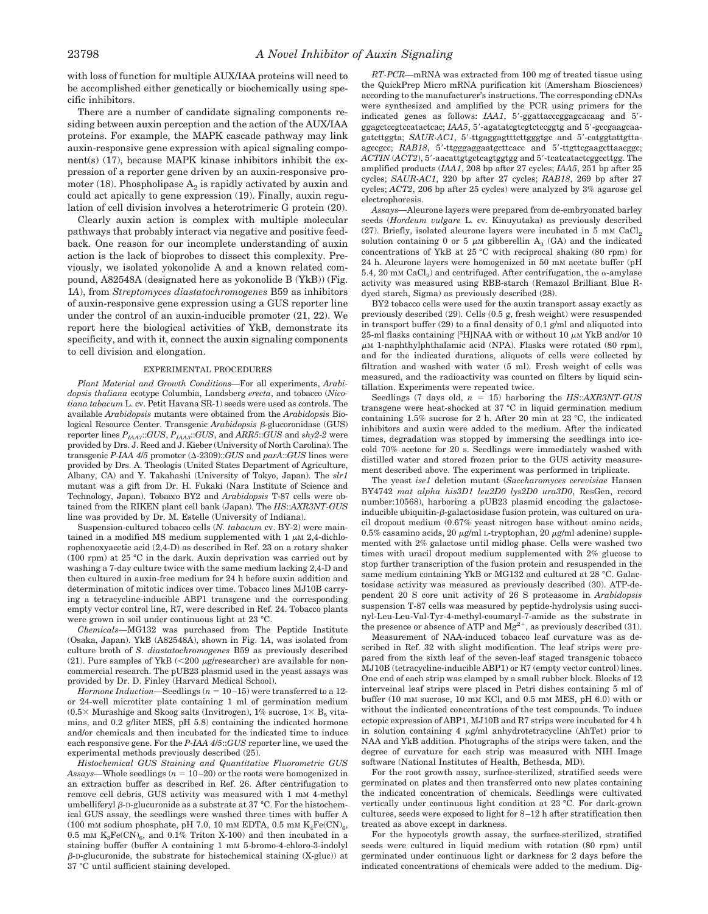with loss of function for multiple AUX/IAA proteins will need to be accomplished either genetically or biochemically using specific inhibitors.

There are a number of candidate signaling components residing between auxin perception and the action of the AUX/IAA proteins. For example, the MAPK cascade pathway may link auxin-responsive gene expression with apical signaling component(s) (17), because MAPK kinase inhibitors inhibit the expression of a reporter gene driven by an auxin-responsive promoter (18). Phospholipase  $A_2$  is rapidly activated by auxin and could act apically to gene expression (19). Finally, auxin regulation of cell division involves a heterotrimeric G protein (20).

Clearly auxin action is complex with multiple molecular pathways that probably interact via negative and positive feedback. One reason for our incomplete understanding of auxin action is the lack of bioprobes to dissect this complexity. Previously, we isolated yokonolide A and a known related compound, A82548A (designated here as yokonolide B (YkB)) (Fig. 1*A*), from *Streptomyces diastatochromogenes* B59 as inhibitors of auxin-responsive gene expression using a GUS reporter line under the control of an auxin-inducible promoter (21, 22). We report here the biological activities of YkB, demonstrate its specificity, and with it, connect the auxin signaling components to cell division and elongation.

## EXPERIMENTAL PROCEDURES

*Plant Material and Growth Conditions—*For all experiments, *Arabidopsis thaliana* ecotype Columbia, Landsberg *erecta*, and tobacco (*Nicotiana tabacum* L. cv. Petit Havana SR-1) seeds were used as controls. The available *Arabidopsis* mutants were obtained from the *Arabidopsis* Biological Resource Center. Transgenic *Arabidopsis*  $\beta$ -glucoronidase (GUS) reporter lines *PIAA7*::*GUS*, *PIAA3*::*GUS*, and *ARR5*::*GUS* and *shy2*-*2* were provided by Drs. J. Reed and J. Kieber (University of North Carolina). The transgenic  $P$ -*IAA 4/5* promoter ( $\Delta$ -2309)::*GUS* and *parA*::*GUS* lines were provided by Drs. A. Theologis (United States Department of Agriculture, Albany, CA) and Y. Takahashi (University of Tokyo, Japan). The *slr1* mutant was a gift from Dr. H. Fukaki (Nara Institute of Science and Technology, Japan). Tobacco BY2 and *Arabidopsis* T-87 cells were obtained from the RIKEN plant cell bank (Japan). The *HS*::*AXR3NT-GUS* line was provided by Dr. M. Estelle (University of Indiana).

Suspension-cultured tobacco cells (*N. tabacum* cv. BY-2) were maintained in a modified MS medium supplemented with  $1 \mu M 2,4$ -dichlorophenoxyacetic acid (2,4-D) as described in Ref. 23 on a rotary shaker (100 rpm) at 25 °C in the dark. Auxin deprivation was carried out by washing a 7-day culture twice with the same medium lacking 2,4-D and then cultured in auxin-free medium for 24 h before auxin addition and determination of mitotic indices over time. Tobacco lines MJ10B carrying a tetracycline-inducible ABP1 transgene and the corresponding empty vector control line, R7, were described in Ref. 24. Tobacco plants were grown in soil under continuous light at 23 °C.

*Chemicals—*MG132 was purchased from The Peptide Institute (Osaka, Japan). YkB (A82548A), shown in Fig. 1*A*, was isolated from culture broth of *S*. *diastatochromogenes* B59 as previously described (21). Pure samples of YkB  $\left( \langle 200 \rangle \mu \text{g/researcher} \right)$  are available for noncommercial research. The pUB23 plasmid used in the yeast assays was provided by Dr. D. Finley (Harvard Medical School).

*Hormone Induction*—Seedlings  $(n = 10-15)$  were transferred to a 12or 24-well microtiter plate containing 1 ml of germination medium  $(0.5\times$  Murashige and Skoog salts (Invitrogen), 1% sucrose,  $1\times$  B<sub>5</sub> vitamins, and 0.2 g/liter MES, pH 5.8) containing the indicated hormone and/or chemicals and then incubated for the indicated time to induce each responsive gene. For the *P-IAA 4*/*5*::*GUS* reporter line, we used the experimental methods previously described (25).

*Histochemical GUS Staining and Quantitative Fluorometric GUS* Assays—Whole seedlings  $(n = 10-20)$  or the roots were homogenized in an extraction buffer as described in Ref. 26. After centrifugation to remove cell debris, GUS activity was measured with 1 mM 4-methyl umbelliferyl  $\beta$ -D-glucuronide as a substrate at 37 °C. For the histochemical GUS assay, the seedlings were washed three times with buffer A (100 mM sodium phosphate, pH 7.0, 10 mM EDTA, 0.5 mM  $K_4Fe(CN)_{6}$ , 0.5 mM  $K_3Fe(CN)_{6}$ , and 0.1% Triton X-100) and then incubated in a staining buffer (buffer A containing 1 mM 5-bromo-4-chloro-3-indolyl  $\beta$ -D-glucuronide, the substrate for histochemical staining (X-gluc)) at 37 °C until sufficient staining developed.

*RT-PCR—*mRNA was extracted from 100 mg of treated tissue using the QuickPrep Micro mRNA purification kit (Amersham Biosciences) according to the manufacturer's instructions. The corresponding cDNAs were synthesized and amplified by the PCR using primers for the indicated genes as follows: *IAA1*, 5'-ggattacccggagcacaag and 5'ggagctccgtccatactcac; *IAA5*, 5'-agatatcgtcgtctccggtg and 5'-gccgaagcaagatcttggta; *SAUR-AC1*, 5'-ttgaggagtttcttgggtgc and 5'-catggtattgttaagccgcc; *RAB18*, 5'-ttgggaggaatgcttcacc and 5'-ttgttcgaagcttaacggc; *ACTIN* (*ACT2*), 5-aacattgtgctcagtggtgg and 5-tcatcatactcggccttgg. The amplified products (*IAA1*, 208 bp after 27 cycles; *IAA5*, 251 bp after 25 cycles; *SAUR-AC1*, 220 bp after 27 cycles; *RAB18*, 269 bp after 27 cycles; *ACT2*, 206 bp after 25 cycles) were analyzed by 3% agarose gel electrophoresis.

*Assays—*Aleurone layers were prepared from de-embryonated barley seeds (*Hordeum vulgare* L. cv. Kinuyutaka) as previously described  $(27)$ . Briefly, isolated aleurone layers were incubated in 5 mm CaCl<sub>2</sub> solution containing 0 or 5  $\mu$ M gibberellin A<sub>3</sub> (GA) and the indicated concentrations of YkB at 25 °C with reciprocal shaking (80 rpm) for 24 h. Aleurone layers were homogenized in 50 mM acetate buffer (pH 5.4, 20 mm CaCl<sub>2</sub>) and centrifuged. After centrifugation, the  $\alpha$ -amylase activity was measured using RBB-starch (Remazol Brilliant Blue Rdyed starch, Sigma) as previously described (28).

BY2 tobacco cells were used for the auxin transport assay exactly as previously described (29). Cells (0.5 g, fresh weight) were resuspended in transport buffer (29) to a final density of 0.1 g/ml and aliquoted into 25-ml flasks containing  $[{}^3H]NAA$  with or without 10  $\mu$ M YkB and/or 10 -M 1-naphthylphthalamic acid (NPA). Flasks were rotated (80 rpm), and for the indicated durations, aliquots of cells were collected by filtration and washed with water (5 ml). Fresh weight of cells was measured, and the radioactivity was counted on filters by liquid scintillation. Experiments were repeated twice.

Seedlings (7 days old, *n* 15) harboring the *HS*::*AXR3NT-GUS* transgene were heat-shocked at 37 °C in liquid germination medium containing 1.5% sucrose for 2 h. After 20 min at 23 °C, the indicated inhibitors and auxin were added to the medium. After the indicated times, degradation was stopped by immersing the seedlings into icecold 70% acetone for 20 s. Seedlings were immediately washed with distilled water and stored frozen prior to the GUS activity measurement described above. The experiment was performed in triplicate.

The yeast *ise1* deletion mutant (*Saccharomyces cerevisiae* Hansen BY4742 *mat alpha his3D1 leu2D0 lys2D0 ura3D0*, ResGen, record number:10568), harboring a pUB23 plasmid encoding the galactoseinducible ubiquitin- $\beta$ -galactosidase fusion protein, was cultured on uracil dropout medium (0.67% yeast nitrogen base without amino acids,  $0.5\%$  casamino acids,  $20 \mu g/ml$  L-tryptophan,  $20 \mu g/ml$  adenine) supplemented with 2% galactose until midlog phase. Cells were washed two times with uracil dropout medium supplemented with 2% glucose to stop further transcription of the fusion protein and resuspended in the same medium containing YkB or MG132 and cultured at 28 °C. Galactosidase activity was measured as previously described (30). ATP-dependent 20 S core unit activity of 26 S proteasome in *Arabidopsis* suspension T-87 cells was measured by peptide-hydrolysis using succinyl-Leu-Leu-Val-Tyr-4-methyl-coumaryl-7-amide as the substrate in the presence or absence of ATP and  $Mg^{2+}$ , as previously described (31).

Measurement of NAA-induced tobacco leaf curvature was as described in Ref. 32 with slight modification. The leaf strips were prepared from the sixth leaf of the seven-leaf staged transgenic tobacco MJ10B (tetracycline-inducible ABP1) or R7 (empty vector control) lines. One end of each strip was clamped by a small rubber block. Blocks of 12 interveinal leaf strips were placed in Petri dishes containing 5 ml of buffer (10 mM sucrose, 10 mM KCl, and 0.5 mM MES, pH 6.0) with or without the indicated concentrations of the test compounds. To induce ectopic expression of ABP1, MJ10B and R7 strips were incubated for 4 h in solution containing  $4 \mu g/ml$  anhydrotetracycline (AhTet) prior to NAA and YkB addition. Photographs of the strips were taken, and the degree of curvature for each strip was measured with NIH Image software (National Institutes of Health, Bethesda, MD).

For the root growth assay, surface-sterilized, stratified seeds were germinated on plates and then transferred onto new plates containing the indicated concentration of chemicals. Seedlings were cultivated vertically under continuous light condition at 23 °C. For dark-grown cultures, seeds were exposed to light for 8–12 h after stratification then treated as above except in darkness.

For the hypocotyls growth assay, the surface-sterilized, stratified seeds were cultured in liquid medium with rotation (80 rpm) until germinated under continuous light or darkness for 2 days before the indicated concentrations of chemicals were added to the medium. Dig-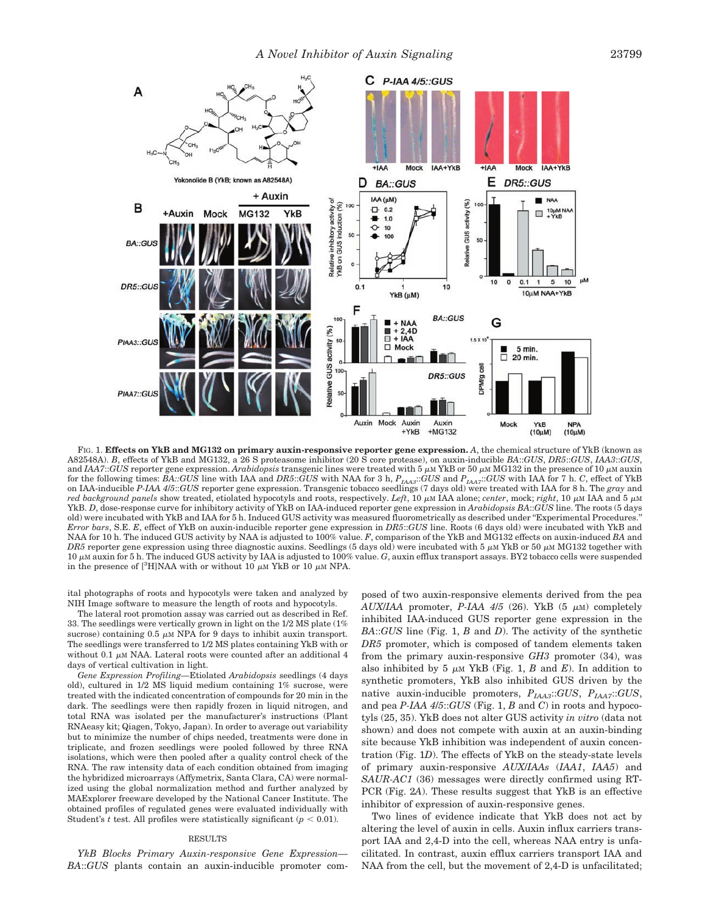

FIG. 1. **Effects on YkB and MG132 on primary auxin-responsive reporter gene expression.** *A*, the chemical structure of YkB (known as A82548A). *B*, effects of YkB and MG132, a 26 S proteasome inhibitor (20 S core protease), on auxin-inducible *BA*::*GUS*, *DR5*::*GUS*, *IAA3*::*GUS*, and *IAA7*::*GUS* reporter gene expression. *Arabidopsis* transgenic lines were treated with  $5 \mu M$  YkB or  $50 \mu M$  MG132 in the presence of 10  $\mu$ M auxin for the following times: *BA::GUS* line with IAA and *DR5*::*GUS* with NAA for 3 h, *PIAA3*::*GUS* and *PIAA7*::*GUS* with IAA for 7 h. *C*, effect of YkB on IAA-inducible *P-IAA 4*/*5*::*GUS* reporter gene expression. Transgenic tobacco seedlings (7 days old) were treated with IAA for 8 h. The *gray* and red background panels show treated, etiolated hypocotyls and roots, respectively. *Left*, 10  $\mu$ M IAA alone; *center*, mock; *right*, 10  $\mu$ M IAA and 5  $\mu$ M YkB. *D*, dose-response curve for inhibitory activity of YkB on IAA-induced reporter gene expression in *Arabidopsis BA*::*GUS* line. The roots (5 days old) were incubated with YkB and IAA for 5 h. Induced GUS activity was measured fluorometrically as described under ''Experimental Procedures.'' *Error bars*, S.E. *E*, effect of YkB on auxin-inducible reporter gene expression in *DR5*::*GUS* line. Roots (6 days old) were incubated with YkB and NAA for 10 h. The induced GUS activity by NAA is adjusted to 100% value. *F*, comparison of the YkB and MG132 effects on auxin-induced *BA* and *DR5* reporter gene expression using three diagnostic auxins. Seedlings (5 days old) were incubated with 5  $\mu$ M YkB or 50  $\mu$ M MG132 together with 10  $\mu$ M auxin for 5 h. The induced GUS activity by IAA is adjusted to 100% value. *G*, auxin efflux transport assays. BY2 tobacco cells were suspended in the presence of [<sup>3</sup>H]NAA with or without 10  $\mu$ M YkB or 10  $\mu$ M NPA.

ital photographs of roots and hypocotyls were taken and analyzed by NIH Image software to measure the length of roots and hypocotyls.

The lateral root promotion assay was carried out as described in Ref. 33. The seedlings were vertically grown in light on the 1/2 MS plate (1% sucrose) containing  $0.5 \mu M NPA$  for 9 days to inhibit auxin transport. The seedlings were transferred to 1/2 MS plates containing YkB with or without 0.1  $\mu$ M NAA. Lateral roots were counted after an additional 4 days of vertical cultivation in light.

*Gene Expression Profiling—*Etiolated *Arabidopsis* seedlings (4 days old), cultured in 1/2 MS liquid medium containing 1% sucrose, were treated with the indicated concentration of compounds for 20 min in the dark. The seedlings were then rapidly frozen in liquid nitrogen, and total RNA was isolated per the manufacturer's instructions (Plant RNAeasy kit; Qiagen, Tokyo, Japan). In order to average out variability but to minimize the number of chips needed, treatments were done in triplicate, and frozen seedlings were pooled followed by three RNA isolations, which were then pooled after a quality control check of the RNA. The raw intensity data of each condition obtained from imaging the hybridized microarrays (Affymetrix, Santa Clara, CA) were normalized using the global normalization method and further analyzed by MAExplorer freeware developed by the National Cancer Institute. The obtained profiles of regulated genes were evaluated individually with Student's *t* test. All profiles were statistically significant  $(p < 0.01)$ .

#### RESULTS

*YkB Blocks Primary Auxin-responsive Gene Expression— BA*::*GUS* plants contain an auxin-inducible promoter composed of two auxin-responsive elements derived from the pea  $AUX/IAA$  promoter, *P-IAA 4/5* (26). YkB (5  $\mu$ M) completely inhibited IAA-induced GUS reporter gene expression in the *BA*::*GUS* line (Fig. 1, *B* and *D*). The activity of the synthetic *DR5* promoter, which is composed of tandem elements taken from the primary auxin-responsive *GH3* promoter (34), was also inhibited by 5  $\mu$ m YkB (Fig. 1, *B* and *E*). In addition to synthetic promoters, YkB also inhibited GUS driven by the native auxin-inducible promoters, *PIAA3*::*GUS*, *PIAA7*::*GUS*, and pea *P-IAA 4*/*5*::*GUS* (Fig. 1, *B* and *C*) in roots and hypocotyls (25, 35). YkB does not alter GUS activity *in vitro* (data not shown) and does not compete with auxin at an auxin-binding site because YkB inhibition was independent of auxin concentration (Fig. 1*D*). The effects of YkB on the steady-state levels of primary auxin-responsive *AUX*/*IAAs* (*IAA1*, *IAA5*) and *SAUR-AC1* (36) messages were directly confirmed using RT-PCR (Fig. 2*A*). These results suggest that YkB is an effective inhibitor of expression of auxin-responsive genes.

Two lines of evidence indicate that YkB does not act by altering the level of auxin in cells. Auxin influx carriers transport IAA and 2,4-D into the cell, whereas NAA entry is unfacilitated. In contrast, auxin efflux carriers transport IAA and NAA from the cell, but the movement of 2,4-D is unfacilitated;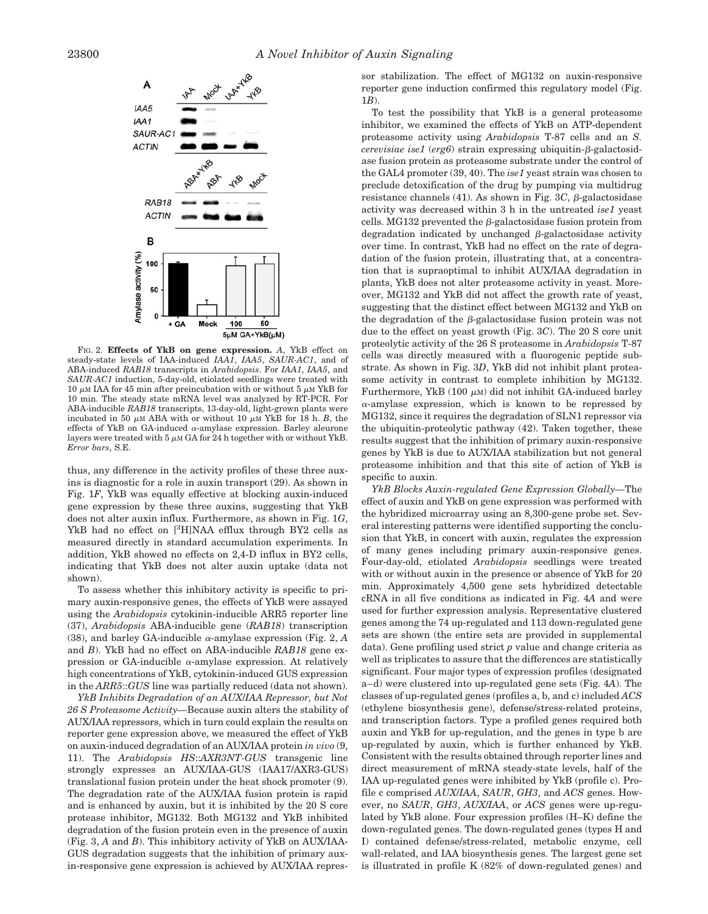

FIG. 2. **Effects of YkB on gene expression.** *A*, YkB effect on steady-state levels of IAA-induced *IAA1*, *IAA5*, *SAUR-AC1*, and of ABA-induced *RAB18* transcripts in *Arabidopsis*. For *IAA1*, *IAA5*, and *SAUR-AC1* induction, 5-day-old, etiolated seedlings were treated with 10  $\mu$ M IAA for 45 min after preincubation with or without 5  $\mu$ M YkB for 10 min. The steady state mRNA level was analyzed by RT-PCR. For ABA-inducible *RAB18* transcripts, 13-day-old, light-grown plants were incubated in 50  $\mu$ M ABA with or without 10  $\mu$ M YkB for 18 h. *B*, the effects of YkB on GA-induced  $\alpha$ -amylase expression. Barley aleurone layers were treated with 5  $\mu$ m GA for 24 h together with or without YkB. *Error bars*, S.E.

thus, any difference in the activity profiles of these three auxins is diagnostic for a role in auxin transport (29). As shown in Fig. 1*F*, YkB was equally effective at blocking auxin-induced gene expression by these three auxins, suggesting that YkB does not alter auxin influx. Furthermore, as shown in Fig. 1*G*, YkB had no effect on [<sup>3</sup>H]NAA efflux through BY2 cells as measured directly in standard accumulation experiments. In addition, YkB showed no effects on 2,4-D influx in BY2 cells, indicating that YkB does not alter auxin uptake (data not shown).

To assess whether this inhibitory activity is specific to primary auxin-responsive genes, the effects of YkB were assayed using the *Arabidopsis* cytokinin-inducible ARR5 reporter line (37), *Arabidopsis* ABA-inducible gene (*RAB18*) transcription (38), and barley GA-inducible  $\alpha$ -amylase expression (Fig. 2, A and *B*). YkB had no effect on ABA-inducible *RAB18* gene expression or GA-inducible  $\alpha$ -amylase expression. At relatively high concentrations of YkB, cytokinin-induced GUS expression in the *ARR5*::*GUS* line was partially reduced (data not shown).

*YkB Inhibits Degradation of an AUX*/*IAA Repressor, but Not 26 S Proteasome Activity—*Because auxin alters the stability of AUX/IAA repressors, which in turn could explain the results on reporter gene expression above, we measured the effect of YkB on auxin-induced degradation of an AUX/IAA protein *in vivo* (9, 11). The *Arabidopsis HS*::*AXR3NT-GUS* transgenic line strongly expresses an AUX/IAA-GUS (IAA17/AXR3-GUS) translational fusion protein under the heat shock promoter (9). The degradation rate of the AUX/IAA fusion protein is rapid and is enhanced by auxin, but it is inhibited by the 20 S core protease inhibitor, MG132. Both MG132 and YkB inhibited degradation of the fusion protein even in the presence of auxin (Fig. 3, *A* and *B*). This inhibitory activity of YkB on AUX/IAA-GUS degradation suggests that the inhibition of primary auxin-responsive gene expression is achieved by AUX/IAA repressor stabilization. The effect of MG132 on auxin-responsive reporter gene induction confirmed this regulatory model (Fig. 1*B*).

To test the possibility that YkB is a general proteasome inhibitor, we examined the effects of YkB on ATP-dependent proteasome activity using *Arabidopsis* T-87 cells and an *S. cerevisiae ise1* (*erg6*) strain expressing ubiquitin- $\beta$ -galactosidase fusion protein as proteasome substrate under the control of the GAL4 promoter (39, 40). The *ise1* yeast strain was chosen to preclude detoxification of the drug by pumping via multidrug resistance channels  $(41)$ . As shown in Fig. 3*C*,  $\beta$ -galactosidase activity was decreased within 3 h in the untreated *ise1* yeast cells. MG132 prevented the  $\beta$ -galactosidase fusion protein from degradation indicated by unchanged  $\beta$ -galactosidase activity over time. In contrast, YkB had no effect on the rate of degradation of the fusion protein, illustrating that, at a concentration that is supraoptimal to inhibit AUX/IAA degradation in plants, YkB does not alter proteasome activity in yeast. Moreover, MG132 and YkB did not affect the growth rate of yeast, suggesting that the distinct effect between MG132 and YkB on the degradation of the  $\beta$ -galactosidase fusion protein was not due to the effect on yeast growth (Fig. 3*C*). The 20 S core unit proteolytic activity of the 26 S proteasome in *Arabidopsis* T-87 cells was directly measured with a fluorogenic peptide substrate. As shown in Fig. 3*D*, YkB did not inhibit plant proteasome activity in contrast to complete inhibition by MG132. Furthermore, YkB  $(100 \mu)$  did not inhibit GA-induced barley  $\alpha$ -amylase expression, which is known to be repressed by MG132, since it requires the degradation of SLN1 repressor via the ubiquitin-proteolytic pathway (42). Taken together, these results suggest that the inhibition of primary auxin-responsive genes by YkB is due to AUX/IAA stabilization but not general proteasome inhibition and that this site of action of YkB is specific to auxin.

*YkB Blocks Auxin-regulated Gene Expression Globally—*The effect of auxin and YkB on gene expression was performed with the hybridized microarray using an 8,300-gene probe set. Several interesting patterns were identified supporting the conclusion that YkB, in concert with auxin, regulates the expression of many genes including primary auxin-responsive genes. Four-day-old, etiolated *Arabidopsis* seedlings were treated with or without auxin in the presence or absence of YkB for 20 min. Approximately 4,500 gene sets hybridized detectable cRNA in all five conditions as indicated in Fig. 4*A* and were used for further expression analysis. Representative clustered genes among the 74 up-regulated and 113 down-regulated gene sets are shown (the entire sets are provided in supplemental data). Gene profiling used strict *p* value and change criteria as well as triplicates to assure that the differences are statistically significant. Four major types of expression profiles (designated a–d) were clustered into up-regulated gene sets (Fig. 4*A*). The classes of up-regulated genes (profiles a, b, and c) included *ACS* (ethylene biosynthesis gene), defense/stress-related proteins, and transcription factors. Type a profiled genes required both auxin and YkB for up-regulation, and the genes in type b are up-regulated by auxin, which is further enhanced by YkB. Consistent with the results obtained through reporter lines and direct measurement of mRNA steady-state levels, half of the IAA up-regulated genes were inhibited by YkB (profile c). Profile c comprised *AUX*/*IAA*, *SAUR*, *GH3*, and *ACS* genes. However, no *SAUR*, *GH3*, *AUX*/*IAA*, or *ACS* genes were up-regulated by YkB alone. Four expression profiles (H–K) define the down-regulated genes. The down-regulated genes (types H and I) contained defense/stress-related, metabolic enzyme, cell wall-related, and IAA biosynthesis genes. The largest gene set is illustrated in profile K (82% of down-regulated genes) and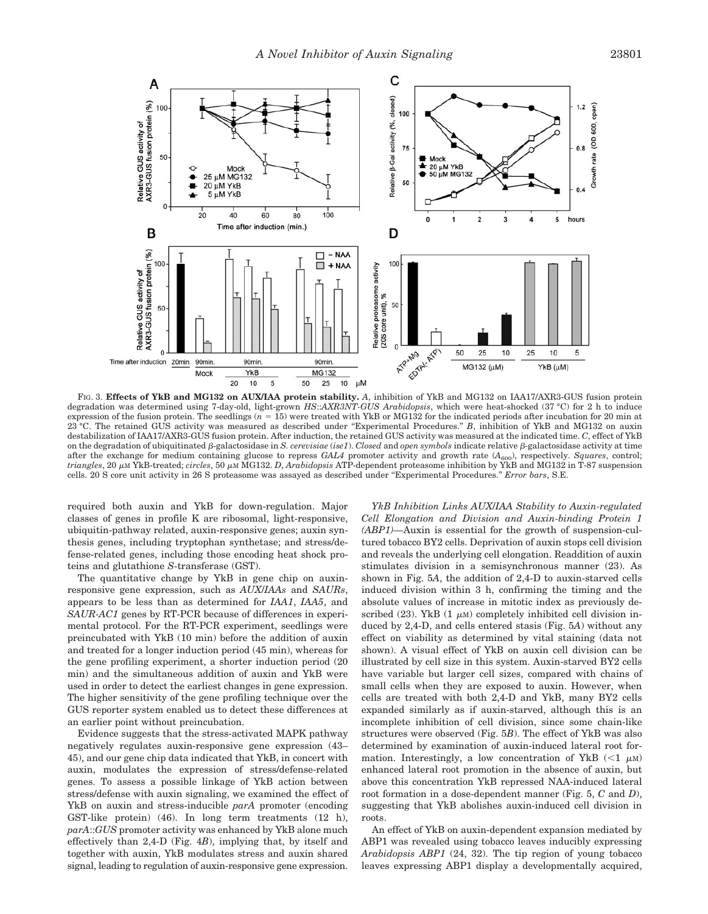

FIG. 3. **Effects of YkB and MG132 on AUX/IAA protein stability.** *A*, inhibition of YkB and MG132 on IAA17/AXR3-GUS fusion protein degradation was determined using 7-day-old, light-grown *HS*::*AXR3NT-GUS Arabidopsis*, which were heat-shocked (37 °C) for 2 h to induce expression of the fusion protein. The seedlings (*n* 15) were treated with YkB or MG132 for the indicated periods after incubation for 20 min at 23 °C. The retained GUS activity was measured as described under ''Experimental Procedures.'' *B*, inhibition of YkB and MG132 on auxin destabilization of IAA17/AXR3-GUS fusion protein. After induction, the retained GUS activity was measured at the indicated time. *C*, effect of YkB on the degradation of ubiquitinated  $\beta$ -galactosidase in *S. cerevisiae* (*ise1*). *Closed* and *open symbols* indicate relative  $\beta$ -galactosidase activity at time after the exchange for medium containing glucose to repress *GAL4* promoter activity and growth rate ( $A_{600}$ ), respectively. *Squares*, control; tri*angles,* 20 μm YkB-treated; *circles, 50 μm MG132. D, Arabidopsis A*TP-dependent proteasome inhibition by YkB and MG132 in T-87 suspension cells. 20 S core unit activity in 26 S proteasome was assayed as described under ''Experimental Procedures.'' *Error bars*, S.E.

required both auxin and YkB for down-regulation. Major classes of genes in profile K are ribosomal, light-responsive, ubiquitin-pathway related, auxin-responsive genes; auxin synthesis genes, including tryptophan synthetase; and stress/defense-related genes, including those encoding heat shock proteins and glutathione *S*-transferase (GST).

The quantitative change by YkB in gene chip on auxinresponsive gene expression, such as *AUX*/*IAAs* and *SAURs*, appears to be less than as determined for *IAA1*, *IAA5*, and *SAUR-AC1* genes by RT-PCR because of differences in experimental protocol. For the RT-PCR experiment, seedlings were preincubated with YkB (10 min) before the addition of auxin and treated for a longer induction period (45 min), whereas for the gene profiling experiment, a shorter induction period (20 min) and the simultaneous addition of auxin and YkB were used in order to detect the earliest changes in gene expression. The higher sensitivity of the gene profiling technique over the GUS reporter system enabled us to detect these differences at an earlier point without preincubation.

Evidence suggests that the stress-activated MAPK pathway negatively regulates auxin-responsive gene expression (43– 45), and our gene chip data indicated that YkB, in concert with auxin, modulates the expression of stress/defense-related genes. To assess a possible linkage of YkB action between stress/defense with auxin signaling, we examined the effect of YkB on auxin and stress-inducible *parA* promoter (encoding GST-like protein) (46). In long term treatments (12 h), *parA*::*GUS* promoter activity was enhanced by YkB alone much effectively than 2,4-D (Fig. 4*B*), implying that, by itself and together with auxin, YkB modulates stress and auxin shared signal, leading to regulation of auxin-responsive gene expression.

*YkB Inhibition Links AUX*/*IAA Stability to Auxin-regulated Cell Elongation and Division and Auxin-binding Protein 1 (ABP1)—*Auxin is essential for the growth of suspension-cultured tobacco BY2 cells. Deprivation of auxin stops cell division and reveals the underlying cell elongation. Readdition of auxin stimulates division in a semisynchronous manner (23). As shown in Fig. 5*A*, the addition of 2,4-D to auxin-starved cells induced division within 3 h, confirming the timing and the absolute values of increase in mitotic index as previously described  $(23)$ . YkB  $(1 \mu M)$  completely inhibited cell division induced by 2,4-D, and cells entered stasis (Fig. 5*A*) without any effect on viability as determined by vital staining (data not shown). A visual effect of YkB on auxin cell division can be illustrated by cell size in this system. Auxin-starved BY2 cells have variable but larger cell sizes, compared with chains of small cells when they are exposed to auxin. However, when cells are treated with both 2,4-D and YkB, many BY2 cells expanded similarly as if auxin-starved, although this is an incomplete inhibition of cell division, since some chain-like structures were observed (Fig. 5*B*). The effect of YkB was also determined by examination of auxin-induced lateral root formation. Interestingly, a low concentration of YkB  $\left($  < 1  $\mu$ M) enhanced lateral root promotion in the absence of auxin, but above this concentration YkB repressed NAA-induced lateral root formation in a dose-dependent manner (Fig. 5, *C* and *D*), suggesting that YkB abolishes auxin-induced cell division in roots.

An effect of YkB on auxin-dependent expansion mediated by ABP1 was revealed using tobacco leaves inducibly expressing *Arabidopsis ABP1* (24, 32). The tip region of young tobacco leaves expressing ABP1 display a developmentally acquired,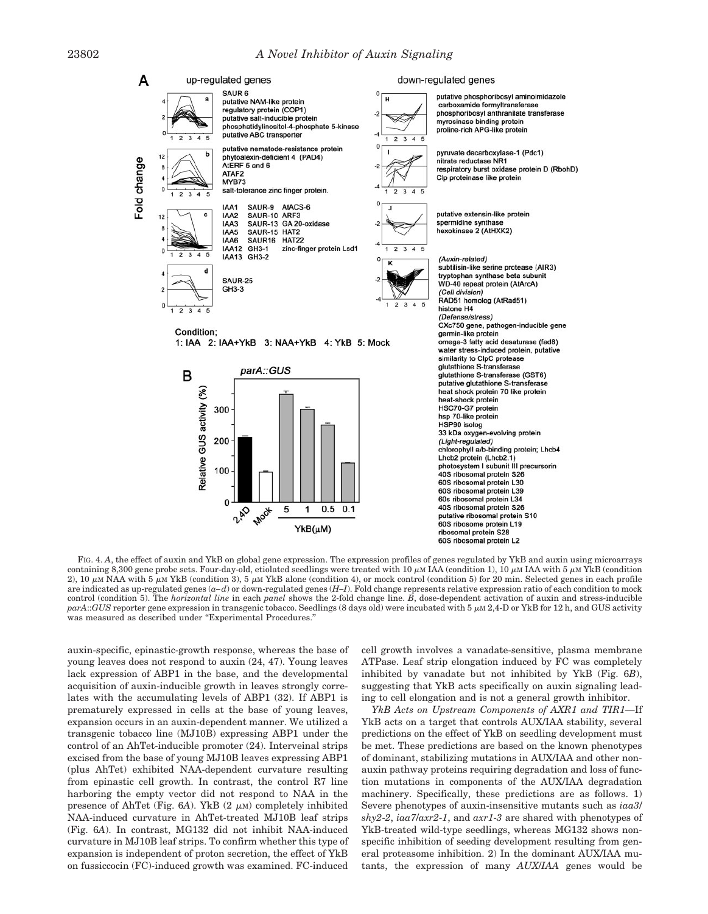

FIG. 4. A, the effect of auxin and YkB on global gene expression. The expression profiles of genes regulated by YkB and auxin using microarrays containing 8,300 gene probe sets. Four-day-old, etiolated seedlings were treated with 10  $\mu$ m IAA (condition 1), 10  $\mu$ m IAA with 5  $\mu$ m YkB (condition 2), 10  $\mu$ M NAA with 5  $\mu$ M YkB (condition 3), 5  $\mu$ M YkB alone (condition 4), or mock control (condition 5) for 20 min. Selected genes in each profile are indicated as up-regulated genes (*a–d*) or down-regulated genes (*H–I*). Fold change represents relative expression ratio of each condition to mock control (condition 5). The *horizontal line* in each *panel* shows the 2-fold change line. *B*, dose-dependent activation of auxin and stress-inducible  $parA::GUS$  reporter gene expression in transgenic tobacco. Seedlings (8 days old) were incubated with 5  $\mu$ M 2,4-D or YkB for 12 h, and GUS activity was measured as described under ''Experimental Procedures.''

auxin-specific, epinastic-growth response, whereas the base of young leaves does not respond to auxin (24, 47). Young leaves lack expression of ABP1 in the base, and the developmental acquisition of auxin-inducible growth in leaves strongly correlates with the accumulating levels of ABP1 (32). If ABP1 is prematurely expressed in cells at the base of young leaves, expansion occurs in an auxin-dependent manner. We utilized a transgenic tobacco line (MJ10B) expressing ABP1 under the control of an AhTet-inducible promoter (24). Interveinal strips excised from the base of young MJ10B leaves expressing ABP1 (plus AhTet) exhibited NAA-dependent curvature resulting from epinastic cell growth. In contrast, the control R7 line harboring the empty vector did not respond to NAA in the presence of AhTet (Fig.  $6A$ ). YkB  $(2 \mu M)$  completely inhibited NAA-induced curvature in AhTet-treated MJ10B leaf strips (Fig. 6*A*). In contrast, MG132 did not inhibit NAA-induced curvature in MJ10B leaf strips. To confirm whether this type of expansion is independent of proton secretion, the effect of YkB on fussiccocin (FC)-induced growth was examined. FC-induced

cell growth involves a vanadate-sensitive, plasma membrane ATPase. Leaf strip elongation induced by FC was completely inhibited by vanadate but not inhibited by YkB (Fig. 6*B*), suggesting that YkB acts specifically on auxin signaling leading to cell elongation and is not a general growth inhibitor.

*YkB Acts on Upstream Components of AXR1 and TIR1—*If YkB acts on a target that controls AUX/IAA stability, several predictions on the effect of YkB on seedling development must be met. These predictions are based on the known phenotypes of dominant, stabilizing mutations in AUX/IAA and other nonauxin pathway proteins requiring degradation and loss of function mutations in components of the AUX/IAA degradation machinery. Specifically, these predictions are as follows. 1) Severe phenotypes of auxin-insensitive mutants such as *iaa3*/ *shy2*-*2*, *iaa7*/*axr2*-*1*, and *axr1*-*3* are shared with phenotypes of YkB-treated wild-type seedlings, whereas MG132 shows nonspecific inhibition of seeding development resulting from general proteasome inhibition. 2) In the dominant AUX/IAA mutants, the expression of many *AUX*/*IAA* genes would be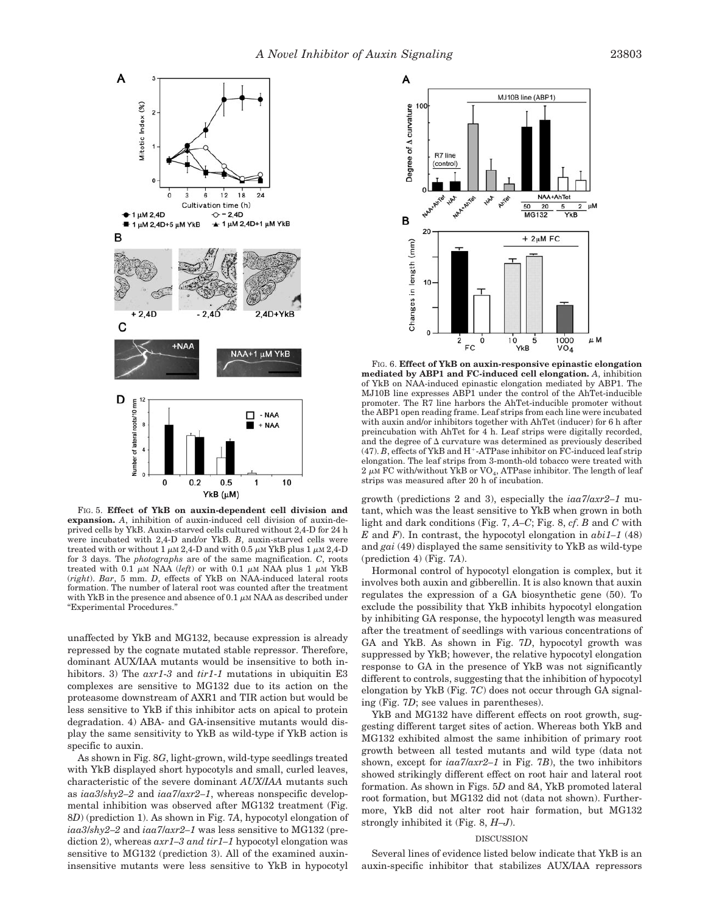

FIG. 5. **Effect of YkB on auxin-dependent cell division and expansion.** *A*, inhibition of auxin-induced cell division of auxin-deprived cells by YkB. Auxin-starved cells cultured without 2,4-D for 24 h were incubated with 2,4-D and/or YkB. *B*, auxin-starved cells were treated with or without 1  $\mu$ m 2,4-D and with 0.5  $\mu$ m YkB plus 1  $\mu$ m 2,4-D for 3 days. The *photographs* are of the same magnification. *C*, roots treated with 0.1  $\mu$ M NAA (*left*) or with 0.1  $\mu$ M NAA plus 1  $\mu$ M YkB (*right*). *Bar*, 5 mm. *D*, effects of YkB on NAA-induced lateral roots formation. The number of lateral root was counted after the treatment with YkB in the presence and absence of 0.1  $\mu$ M NAA as described under "Experimental Procedures."

unaffected by YkB and MG132, because expression is already repressed by the cognate mutated stable repressor. Therefore, dominant AUX/IAA mutants would be insensitive to both inhibitors. 3) The *axr1*-*3* and *tir1*-*1* mutations in ubiquitin E3 complexes are sensitive to MG132 due to its action on the proteasome downstream of AXR1 and TIR action but would be less sensitive to YkB if this inhibitor acts on apical to protein degradation. 4) ABA- and GA-insensitive mutants would display the same sensitivity to YkB as wild-type if YkB action is specific to auxin.

As shown in Fig. 8*G*, light-grown, wild-type seedlings treated with YkB displayed short hypocotyls and small, curled leaves, characteristic of the severe dominant *AUX*/*IAA* mutants such as *iaa3*/*shy2–2* and *iaa7*/*axr2–1*, whereas nonspecific developmental inhibition was observed after MG132 treatment (Fig. 8*D*) (prediction 1). As shown in Fig. 7*A*, hypocotyl elongation of *iaa3*/*shy2–2* and *iaa7*/*axr2–1* was less sensitive to MG132 (prediction 2), whereas *axr1–3 and tir1–1* hypocotyl elongation was sensitive to MG132 (prediction 3). All of the examined auxininsensitive mutants were less sensitive to YkB in hypocotyl



FIG. 6. **Effect of YkB on auxin-responsive epinastic elongation mediated by ABP1 and FC-induced cell elongation.** *A*, inhibition of YkB on NAA-induced epinastic elongation mediated by ABP1. The MJ10B line expresses ABP1 under the control of the AhTet-inducible promoter. The R7 line harbors the AhTet-inducible promoter without the ABP1 open reading frame. Leaf strips from each line were incubated with auxin and/or inhibitors together with AhTet (inducer) for 6 h after preincubation with AhTet for 4 h. Leaf strips were digitally recorded, and the degree of  $\Delta$  curvature was determined as previously described  $(47)$ . *B*, effects of YkB and H<sup>+</sup>-ATPase inhibitor on FC-induced leaf strip elongation. The leaf strips from 3-month-old tobacco were treated with 2  $\mu$ м FC with/without YkB or VO<sub>4</sub>, ATPase inhibitor. The length of leaf strips was measured after 20 h of incubation.

growth (predictions 2 and 3), especially the *iaa7*/*axr2–1* mutant, which was the least sensitive to YkB when grown in both light and dark conditions (Fig. 7, *A–C*; Fig. 8, *cf*. *B* and *C* with *E* and *F*). In contrast, the hypocotyl elongation in  $abi1-1$  (48) and *gai* (49) displayed the same sensitivity to YkB as wild-type (prediction 4) (Fig. 7*A*).

Hormonal control of hypocotyl elongation is complex, but it involves both auxin and gibberellin. It is also known that auxin regulates the expression of a GA biosynthetic gene (50). To exclude the possibility that YkB inhibits hypocotyl elongation by inhibiting GA response, the hypocotyl length was measured after the treatment of seedlings with various concentrations of GA and YkB. As shown in Fig. 7*D*, hypocotyl growth was suppressed by YkB; however, the relative hypocotyl elongation response to GA in the presence of YkB was not significantly different to controls, suggesting that the inhibition of hypocotyl elongation by YkB (Fig. 7*C*) does not occur through GA signaling (Fig. 7*D*; see values in parentheses).

YkB and MG132 have different effects on root growth, suggesting different target sites of action. Whereas both YkB and MG132 exhibited almost the same inhibition of primary root growth between all tested mutants and wild type (data not shown, except for *iaa7*/*axr2–1* in Fig. 7*B*), the two inhibitors showed strikingly different effect on root hair and lateral root formation. As shown in Figs. 5*D* and 8*A*, YkB promoted lateral root formation, but MG132 did not (data not shown). Furthermore, YkB did not alter root hair formation, but MG132 strongly inhibited it (Fig. 8, *H–J*).

# DISCUSSION

Several lines of evidence listed below indicate that YkB is an auxin-specific inhibitor that stabilizes AUX/IAA repressors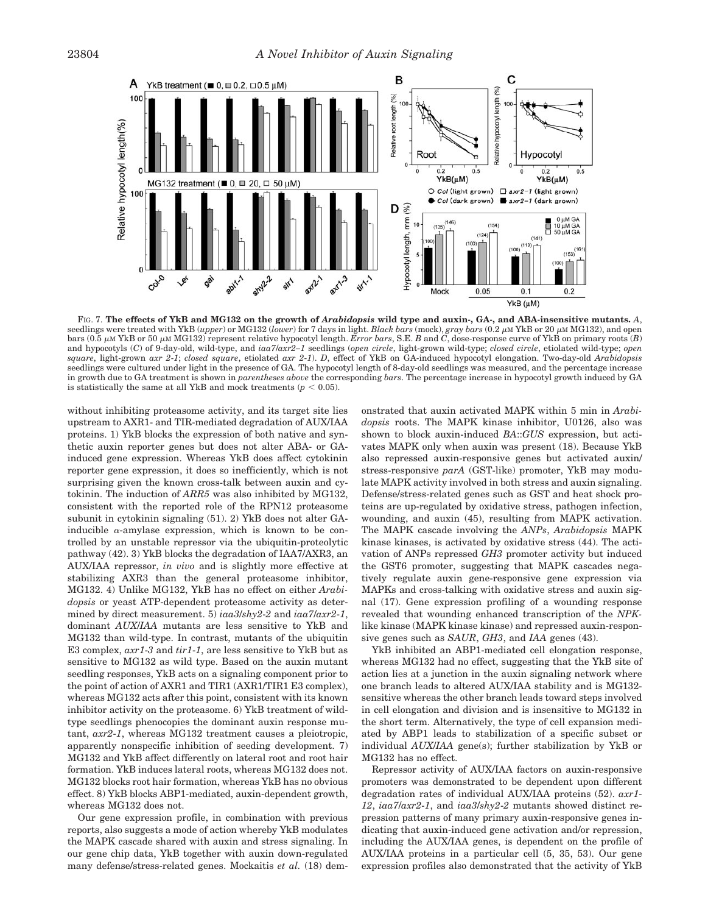

FIG. 7. **The effects of YkB and MG132 on the growth of** *Arabidopsis* **wild type and auxin-, GA-, and ABA-insensitive mutants.** *A*, seedlings were treated with YkB (*upper*) or MG132 (lower) for 7 days in light. *Black bars* (mock), *gray bars* (0.2 µM YkB or 20 µM MG132), and open bars (0.5 μM YkB or 50 μM MG132) represent relative hypocotyl length. *Error bars*, S.E. *B* and *C*, dose-response curve of YkB on primary roots (*B*) and hypocotyls (*C*) of 9-day-old, wild-type, and *iaa7*/*axr2–1* seedlings (*open circle*, light-grown wild-type; *closed circle*, etiolated wild-type; *open square*, light-grown *axr 2*-*1*; *closed square*, etiolated *axr 2*-*1*). *D*, effect of YkB on GA-induced hypocotyl elongation. Two-day-old *Arabidopsis* seedlings were cultured under light in the presence of GA. The hypocotyl length of 8-day-old seedlings was measured, and the percentage increase in growth due to GA treatment is shown in *parentheses above* the corresponding *bars*. The percentage increase in hypocotyl growth induced by GA is statistically the same at all YkB and mock treatments  $(p < 0.05)$ .

without inhibiting proteasome activity, and its target site lies upstream to AXR1- and TIR-mediated degradation of AUX/IAA proteins. 1) YkB blocks the expression of both native and synthetic auxin reporter genes but does not alter ABA- or GAinduced gene expression. Whereas YkB does affect cytokinin reporter gene expression, it does so inefficiently, which is not surprising given the known cross-talk between auxin and cytokinin. The induction of *ARR5* was also inhibited by MG132, consistent with the reported role of the RPN12 proteasome subunit in cytokinin signaling (51). 2) YkB does not alter GAinducible  $\alpha$ -amylase expression, which is known to be controlled by an unstable repressor via the ubiquitin-proteolytic pathway (42). 3) YkB blocks the degradation of IAA7/AXR3, an AUX/IAA repressor, *in vivo* and is slightly more effective at stabilizing AXR3 than the general proteasome inhibitor, MG132. 4) Unlike MG132, YkB has no effect on either *Arabidopsis* or yeast ATP-dependent proteasome activity as determined by direct measurement. 5) *iaa3*/*shy2*-*2* and *iaa7*/*axr2*-*1*, dominant *AUX*/*IAA* mutants are less sensitive to YkB and MG132 than wild-type. In contrast, mutants of the ubiquitin E3 complex, *axr1*-*3* and *tir1*-*1*, are less sensitive to YkB but as sensitive to MG132 as wild type. Based on the auxin mutant seedling responses, YkB acts on a signaling component prior to the point of action of AXR1 and TIR1 (AXR1/TIR1 E3 complex), whereas MG132 acts after this point, consistent with its known inhibitor activity on the proteasome. 6) YkB treatment of wildtype seedlings phenocopies the dominant auxin response mutant, *axr2*-*1*, whereas MG132 treatment causes a pleiotropic, apparently nonspecific inhibition of seeding development. 7) MG132 and YkB affect differently on lateral root and root hair formation. YkB induces lateral roots, whereas MG132 does not. MG132 blocks root hair formation, whereas YkB has no obvious effect. 8) YkB blocks ABP1-mediated, auxin-dependent growth, whereas MG132 does not.

Our gene expression profile, in combination with previous reports, also suggests a mode of action whereby YkB modulates the MAPK cascade shared with auxin and stress signaling. In our gene chip data, YkB together with auxin down-regulated many defense/stress-related genes. Mockaitis *et al.* (18) demonstrated that auxin activated MAPK within 5 min in *Arabidopsis* roots. The MAPK kinase inhibitor, U0126, also was shown to block auxin-induced *BA*::*GUS* expression, but activates MAPK only when auxin was present (18). Because YkB also repressed auxin-responsive genes but activated auxin/ stress-responsive *parA* (GST-like) promoter, YkB may modulate MAPK activity involved in both stress and auxin signaling. Defense/stress-related genes such as GST and heat shock proteins are up-regulated by oxidative stress, pathogen infection, wounding, and auxin (45), resulting from MAPK activation. The MAPK cascade involving the *ANPs*, *Arabidopsis* MAPK kinase kinases, is activated by oxidative stress (44). The activation of ANPs repressed *GH3* promoter activity but induced the GST6 promoter, suggesting that MAPK cascades negatively regulate auxin gene-responsive gene expression via MAPKs and cross-talking with oxidative stress and auxin signal (17). Gene expression profiling of a wounding response revealed that wounding enhanced transcription of the *NPK*like kinase (MAPK kinase kinase) and repressed auxin-responsive genes such as *SAUR*, *GH3*, and *IAA* genes (43).

YkB inhibited an ABP1-mediated cell elongation response, whereas MG132 had no effect, suggesting that the YkB site of action lies at a junction in the auxin signaling network where one branch leads to altered AUX/IAA stability and is MG132 sensitive whereas the other branch leads toward steps involved in cell elongation and division and is insensitive to MG132 in the short term. Alternatively, the type of cell expansion mediated by ABP1 leads to stabilization of a specific subset or individual *AUX*/*IAA* gene(s); further stabilization by YkB or MG132 has no effect.

Repressor activity of AUX/IAA factors on auxin-responsive promoters was demonstrated to be dependent upon different degradation rates of individual AUX/IAA proteins (52). *axr1*- *12*, *iaa7*/*axr2*-*1*, and *iaa3*/*shy2*-*2* mutants showed distinct repression patterns of many primary auxin-responsive genes indicating that auxin-induced gene activation and/or repression, including the AUX/IAA genes, is dependent on the profile of AUX/IAA proteins in a particular cell (5, 35, 53). Our gene expression profiles also demonstrated that the activity of YkB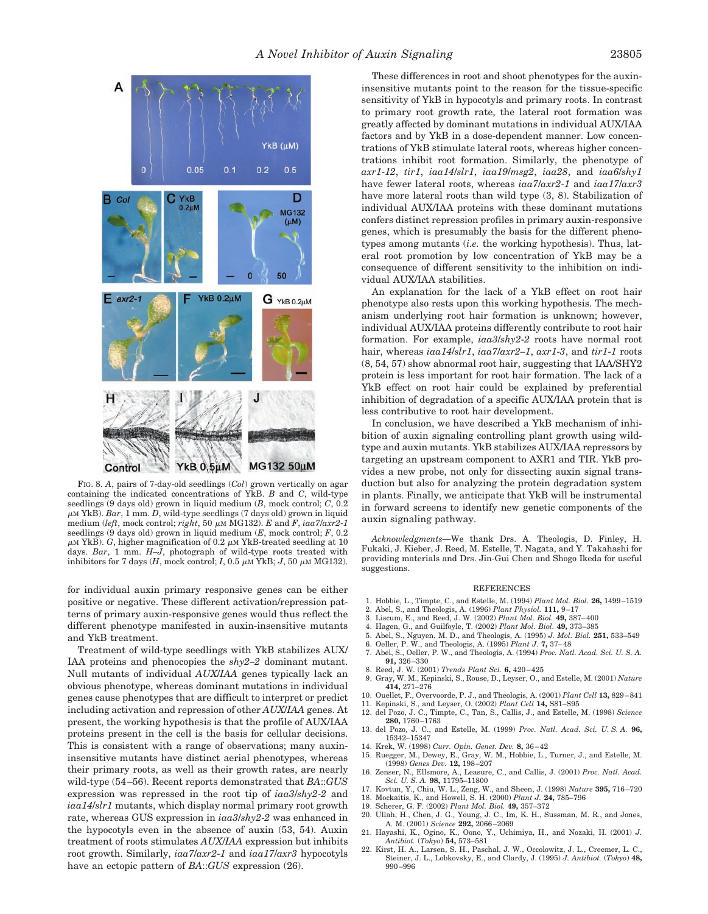

FIG. 8. *A*, pairs of 7-day-old seedlings (*Col*) grown vertically on agar containing the indicated concentrations of YkB. *B* and *C*, wild-type seedlings (9 days old) grown in liquid medium (*B*, mock control; *C*, 0.2 -M YkB). *Bar*, 1 mm. *D*, wild-type seedlings (7 days old) grown in liquid medium (*left*, mock control;  $right, 50 \mu M MG132$ ). *E* and *F*,  $iaa7/axr2-1$ seedlings (9 days old) grown in liquid medium (*E*, mock control; *F*, 0.2  $\mu$ m YkB). *G*, higher magnification of 0.2  $\mu$ m YkB-treated seedling at 10 days. *Bar*, 1 mm. *H–J*, photograph of wild-type roots treated with inhibitors for 7 days  $(H, \text{ mock control}; I, 0.5 \mu M$  YkB;  $J, 50 \mu M$  MG132).

for individual auxin primary responsive genes can be either positive or negative. These different activation/repression patterns of primary auxin-responsive genes would thus reflect the different phenotype manifested in auxin-insensitive mutants and YkB treatment.

Treatment of wild-type seedlings with YkB stabilizes AUX/ IAA proteins and phenocopies the *shy2–2* dominant mutant. Null mutants of individual *AUX*/*IAA* genes typically lack an obvious phenotype, whereas dominant mutations in individual genes cause phenotypes that are difficult to interpret or predict including activation and repression of other *AUX*/*IAA* genes. At present, the working hypothesis is that the profile of AUX/IAA proteins present in the cell is the basis for cellular decisions. This is consistent with a range of observations; many auxininsensitive mutants have distinct aerial phenotypes, whereas their primary roots, as well as their growth rates, are nearly wild-type (54–56). Recent reports demonstrated that *BA*::*GUS* expression was repressed in the root tip of *iaa3*/*shy2*-*2* and *iaa14*/*slr1* mutants, which display normal primary root growth rate, whereas GUS expression in *iaa3*/*shy2*-*2* was enhanced in the hypocotyls even in the absence of auxin (53, 54). Auxin treatment of roots stimulates *AUX*/*IAA* expression but inhibits root growth. Similarly, *iaa7*/*axr2*-*1* and *iaa17*/*axr3* hypocotyls have an ectopic pattern of *BA*::*GUS* expression (26).

These differences in root and shoot phenotypes for the auxininsensitive mutants point to the reason for the tissue-specific sensitivity of YkB in hypocotyls and primary roots. In contrast to primary root growth rate, the lateral root formation was greatly affected by dominant mutations in individual AUX/IAA factors and by YkB in a dose-dependent manner. Low concentrations of YkB stimulate lateral roots, whereas higher concentrations inhibit root formation. Similarly, the phenotype of *axr1*-*12*, *tir1*, *iaa14*/*slr1*, *iaa19*/*msg2*, *iaa28*, and *iaa6*/*shy1* have fewer lateral roots, whereas *iaa7*/*axr2*-*1* and *iaa17*/*axr3* have more lateral roots than wild type  $(3, 8)$ . Stabilization of individual AUX/IAA proteins with these dominant mutations confers distinct repression profiles in primary auxin-responsive genes, which is presumably the basis for the different phenotypes among mutants (*i.e.* the working hypothesis). Thus, lateral root promotion by low concentration of YkB may be a consequence of different sensitivity to the inhibition on individual AUX/IAA stabilities.

An explanation for the lack of a YkB effect on root hair phenotype also rests upon this working hypothesis. The mechanism underlying root hair formation is unknown; however, individual AUX/IAA proteins differently contribute to root hair formation. For example, *iaa3*/*shy2*-*2* roots have normal root hair, whereas *iaa14*/*slr1*, *iaa7*/*axr2–1*, *axr1*-*3*, and *tir1*-*1* roots (8, 54, 57) show abnormal root hair, suggesting that IAA/SHY2 protein is less important for root hair formation. The lack of a YkB effect on root hair could be explained by preferential inhibition of degradation of a specific AUX/IAA protein that is less contributive to root hair development.

In conclusion, we have described a YkB mechanism of inhibition of auxin signaling controlling plant growth using wildtype and auxin mutants. YkB stabilizes AUX/IAA repressors by targeting an upstream component to AXR1 and TIR. YkB provides a new probe, not only for dissecting auxin signal transduction but also for analyzing the protein degradation system in plants. Finally, we anticipate that YkB will be instrumental in forward screens to identify new genetic components of the auxin signaling pathway.

*Acknowledgments—*We thank Drs. A. Theologis, D. Finley, H. Fukaki, J. Kieber, J. Reed, M. Estelle, T. Nagata, and Y. Takahashi for providing materials and Drs. Jin-Gui Chen and Shogo Ikeda for useful suggestions.

### REFERENCES

- 1. Hobbie, L., Timpte, C., and Estelle, M. (1994) *Plant Mol. Biol.* **26,** 1499–1519
- 2. Abel, S., and Theologis, A. (1996) *Plant Physiol.* **111,** 9–17
- 3. Liscum, E., and Reed, J. W. (2002) *Plant Mol. Biol.* **49,** 387–400
- 4. Hagen, G., and Guilfoyle, T. (2002) *Plant Mol. Biol.* **49,** 373–385
- 5. Abel, S., Nguyen, M. D., and Theologis, A. (1995) *J. Mol. Biol.* **251,** 533–549
- 6. Oeller, P. W., and Theologis, A. (1995) *Plant J.* **7,** 37–48
- 7. Abel, S., Oeller, P. W., and Theologis, A. (1994) *Proc. Natl. Acad. Sci. U. S. A.* **91,** 326–330
- 8. Reed, J. W. (2001) *Trends Plant Sci.* **6,** 420–425
- 9. Gray, W. M., Kepinski, S., Rouse, D., Leyser, O., and Estelle, M. (2001) *Nature* **414,** 271–276
- 10. Ouellet, F., Overvoorde, P. J., and Theologis, A. (2001) *Plant Cell* **13,** 829–841
- 11. Kepinski, S., and Leyser, O. (2002) *Plant Cell* **14,** S81–S95
- 12. del Pozo, J. C., Timpte, C., Tan, S., Callis, J., and Estelle, M. (1998) *Science* **280,** 1760–1763
- 13. del Pozo, J. C., and Estelle, M. (1999) *Proc. Natl. Acad. Sci. U. S. A.* **96,** 15342–15347
- 14. Krek, W. (1998) *Curr. Opin. Genet. Dev.* **8,** 36–42
- 15. Ruegger, M., Dewey, E., Gray, W. M., Hobbie, L., Turner, J., and Estelle, M. (1998) *Genes Dev.* **12,** 198–207
- 16. Zenser, N., Ellsmore, A., Leasure, C., and Callis, J. (2001) *Proc. Natl. Acad. Sci. U. S. A.* **98,** 11795–11800
- 17. Kovtun, Y., Chiu, W. L., Zeng, W., and Sheen, J. (1998) *Nature* **395,** 716–720<br>18. Mockaitis, K., and Howell, S. H. (2000) *Plant J.* **24,** 785–796<br>19. Scherer, G. F. (2002) *Plant Mol. Biol.* **49,** 357–372
- 
- 
- 20. Ullah, H., Chen, J. G., Young, J. C., Im, K. H., Sussman, M. R., and Jones, A. M. (2001) *Science* **292,** 2066–2069
- 21. Hayashi, K., Ogino, K., Oono, Y., Uchimiya, H., and Nozaki, H. (2001) *J. Antibiot.* (*Tokyo*) **54,** 573–581
- 22. Kirst, H. A., Larsen, S. H., Paschal, J. W., Occolowitz, J. L., Creemer, L. C., Steiner, J. L., Lobkovsky, E., and Clardy, J. (1995) *J. Antibiot.* (*Tokyo*) **48,** 990–996